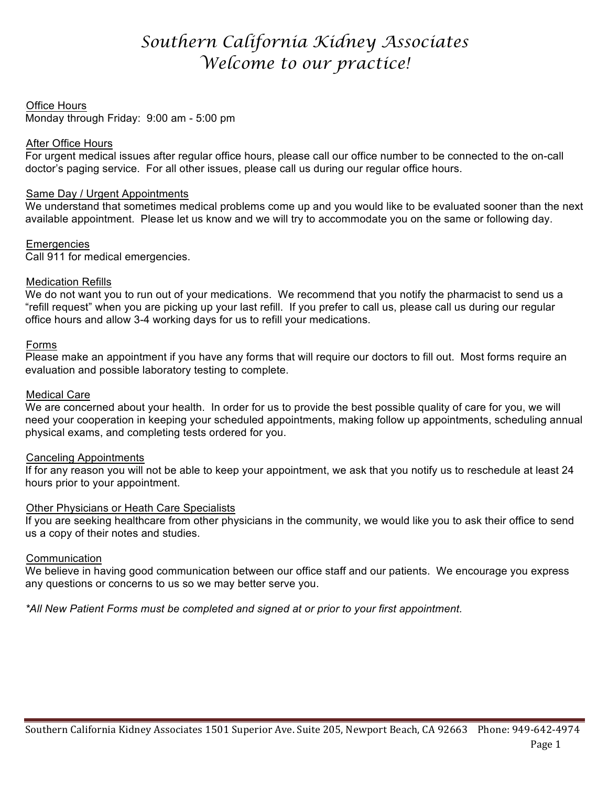# *Southern California Kidney Associates Welcome to our practice!*

# **Office Hours**

Monday through Friday: 9:00 am - 5:00 pm

# After Office Hours

For urgent medical issues after regular office hours, please call our office number to be connected to the on-call doctor's paging service. For all other issues, please call us during our regular office hours.

# Same Day / Urgent Appointments

We understand that sometimes medical problems come up and you would like to be evaluated sooner than the next available appointment. Please let us know and we will try to accommodate you on the same or following day.

# Emergencies

Call 911 for medical emergencies.

# **Medication Refills**

We do not want you to run out of your medications. We recommend that you notify the pharmacist to send us a "refill request" when you are picking up your last refill. If you prefer to call us, please call us during our regular office hours and allow 3-4 working days for us to refill your medications.

# Forms

Please make an appointment if you have any forms that will require our doctors to fill out. Most forms require an evaluation and possible laboratory testing to complete.

# **Medical Care**

We are concerned about your health. In order for us to provide the best possible quality of care for you, we will need your cooperation in keeping your scheduled appointments, making follow up appointments, scheduling annual physical exams, and completing tests ordered for you.

# **Canceling Appointments**

If for any reason you will not be able to keep your appointment, we ask that you notify us to reschedule at least 24 hours prior to your appointment.

# **Other Physicians or Heath Care Specialists**

If you are seeking healthcare from other physicians in the community, we would like you to ask their office to send us a copy of their notes and studies.

# **Communication**

We believe in having good communication between our office staff and our patients. We encourage you express any questions or concerns to us so we may better serve you.

*\*All New Patient Forms must be completed and signed at or prior to your first appointment.*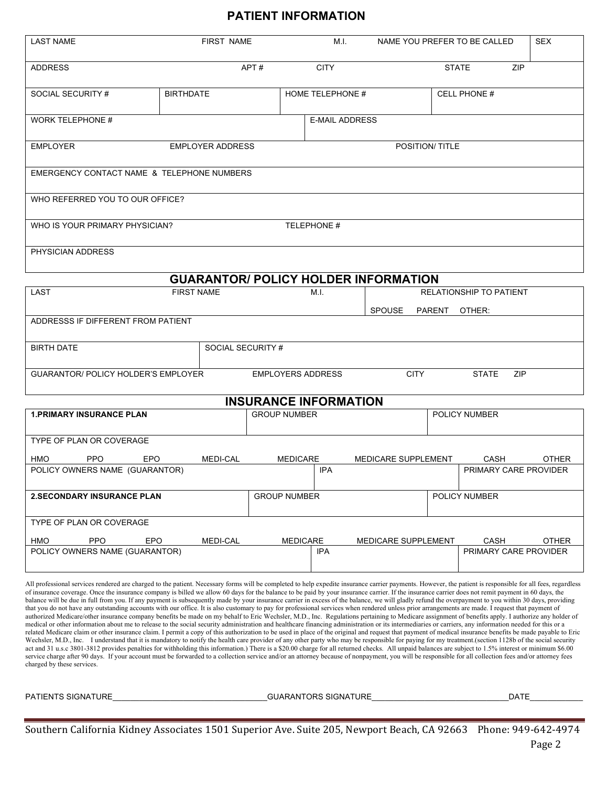# **PATIENT INFORMATION**

| <b>LAST NAME</b>                                                                                                                                                                                                                                                                                                                                                                                                                                                                                                                                                                                                                                                                                                                                                                                                                                                                                                                                                                                                                                                                                                                                                                                                                                                                                                                                                                                                                                                                                                                                                                                                                                                                                                                                                                                                                                                                                                                                                                                                                                                                                                    | <b>FIRST NAME</b> |                     | M.I.                  |                     |                         | NAME YOU PREFER TO BE CALLED  | <b>SEX</b>   |
|---------------------------------------------------------------------------------------------------------------------------------------------------------------------------------------------------------------------------------------------------------------------------------------------------------------------------------------------------------------------------------------------------------------------------------------------------------------------------------------------------------------------------------------------------------------------------------------------------------------------------------------------------------------------------------------------------------------------------------------------------------------------------------------------------------------------------------------------------------------------------------------------------------------------------------------------------------------------------------------------------------------------------------------------------------------------------------------------------------------------------------------------------------------------------------------------------------------------------------------------------------------------------------------------------------------------------------------------------------------------------------------------------------------------------------------------------------------------------------------------------------------------------------------------------------------------------------------------------------------------------------------------------------------------------------------------------------------------------------------------------------------------------------------------------------------------------------------------------------------------------------------------------------------------------------------------------------------------------------------------------------------------------------------------------------------------------------------------------------------------|-------------------|---------------------|-----------------------|---------------------|-------------------------|-------------------------------|--------------|
| <b>ADDRESS</b>                                                                                                                                                                                                                                                                                                                                                                                                                                                                                                                                                                                                                                                                                                                                                                                                                                                                                                                                                                                                                                                                                                                                                                                                                                                                                                                                                                                                                                                                                                                                                                                                                                                                                                                                                                                                                                                                                                                                                                                                                                                                                                      |                   | APT#                | <b>CITY</b>           |                     | <b>STATE</b>            | <b>ZIP</b>                    |              |
| SOCIAL SECURITY #                                                                                                                                                                                                                                                                                                                                                                                                                                                                                                                                                                                                                                                                                                                                                                                                                                                                                                                                                                                                                                                                                                                                                                                                                                                                                                                                                                                                                                                                                                                                                                                                                                                                                                                                                                                                                                                                                                                                                                                                                                                                                                   | <b>BIRTHDATE</b>  |                     | HOME TELEPHONE #      |                     |                         | <b>CELL PHONE #</b>           |              |
| <b>WORK TELEPHONE #</b>                                                                                                                                                                                                                                                                                                                                                                                                                                                                                                                                                                                                                                                                                                                                                                                                                                                                                                                                                                                                                                                                                                                                                                                                                                                                                                                                                                                                                                                                                                                                                                                                                                                                                                                                                                                                                                                                                                                                                                                                                                                                                             |                   |                     | <b>E-MAIL ADDRESS</b> |                     |                         |                               |              |
| <b>EMPLOYER</b><br><b>EMPLOYER ADDRESS</b><br>POSITION/ TITLE                                                                                                                                                                                                                                                                                                                                                                                                                                                                                                                                                                                                                                                                                                                                                                                                                                                                                                                                                                                                                                                                                                                                                                                                                                                                                                                                                                                                                                                                                                                                                                                                                                                                                                                                                                                                                                                                                                                                                                                                                                                       |                   |                     |                       |                     |                         |                               |              |
| EMERGENCY CONTACT NAME & TELEPHONE NUMBERS                                                                                                                                                                                                                                                                                                                                                                                                                                                                                                                                                                                                                                                                                                                                                                                                                                                                                                                                                                                                                                                                                                                                                                                                                                                                                                                                                                                                                                                                                                                                                                                                                                                                                                                                                                                                                                                                                                                                                                                                                                                                          |                   |                     |                       |                     |                         |                               |              |
| WHO REFERRED YOU TO OUR OFFICE?                                                                                                                                                                                                                                                                                                                                                                                                                                                                                                                                                                                                                                                                                                                                                                                                                                                                                                                                                                                                                                                                                                                                                                                                                                                                                                                                                                                                                                                                                                                                                                                                                                                                                                                                                                                                                                                                                                                                                                                                                                                                                     |                   |                     |                       |                     |                         |                               |              |
| WHO IS YOUR PRIMARY PHYSICIAN?                                                                                                                                                                                                                                                                                                                                                                                                                                                                                                                                                                                                                                                                                                                                                                                                                                                                                                                                                                                                                                                                                                                                                                                                                                                                                                                                                                                                                                                                                                                                                                                                                                                                                                                                                                                                                                                                                                                                                                                                                                                                                      |                   | TELEPHONE #         |                       |                     |                         |                               |              |
| PHYSICIAN ADDRESS                                                                                                                                                                                                                                                                                                                                                                                                                                                                                                                                                                                                                                                                                                                                                                                                                                                                                                                                                                                                                                                                                                                                                                                                                                                                                                                                                                                                                                                                                                                                                                                                                                                                                                                                                                                                                                                                                                                                                                                                                                                                                                   |                   |                     |                       |                     |                         |                               |              |
| <b>GUARANTOR/ POLICY HOLDER INFORMATION</b>                                                                                                                                                                                                                                                                                                                                                                                                                                                                                                                                                                                                                                                                                                                                                                                                                                                                                                                                                                                                                                                                                                                                                                                                                                                                                                                                                                                                                                                                                                                                                                                                                                                                                                                                                                                                                                                                                                                                                                                                                                                                         |                   |                     |                       |                     |                         |                               |              |
| LAST                                                                                                                                                                                                                                                                                                                                                                                                                                                                                                                                                                                                                                                                                                                                                                                                                                                                                                                                                                                                                                                                                                                                                                                                                                                                                                                                                                                                                                                                                                                                                                                                                                                                                                                                                                                                                                                                                                                                                                                                                                                                                                                |                   | M.I.                |                       |                     | RELATIONSHIP TO PATIENT |                               |              |
| SPOUSE<br>PARENT<br>OTHER:<br>ADDRESSS IF DIFFERENT FROM PATIENT                                                                                                                                                                                                                                                                                                                                                                                                                                                                                                                                                                                                                                                                                                                                                                                                                                                                                                                                                                                                                                                                                                                                                                                                                                                                                                                                                                                                                                                                                                                                                                                                                                                                                                                                                                                                                                                                                                                                                                                                                                                    |                   |                     |                       |                     |                         |                               |              |
| <b>BIRTH DATE</b>                                                                                                                                                                                                                                                                                                                                                                                                                                                                                                                                                                                                                                                                                                                                                                                                                                                                                                                                                                                                                                                                                                                                                                                                                                                                                                                                                                                                                                                                                                                                                                                                                                                                                                                                                                                                                                                                                                                                                                                                                                                                                                   | SOCIAL SECURITY # |                     |                       |                     |                         |                               |              |
| <b>GUARANTOR/ POLICY HOLDER'S EMPLOYER</b><br><b>CITY</b><br><b>EMPLOYERS ADDRESS</b><br><b>STATE</b><br>ZIP                                                                                                                                                                                                                                                                                                                                                                                                                                                                                                                                                                                                                                                                                                                                                                                                                                                                                                                                                                                                                                                                                                                                                                                                                                                                                                                                                                                                                                                                                                                                                                                                                                                                                                                                                                                                                                                                                                                                                                                                        |                   |                     |                       |                     |                         |                               |              |
| <b>INSURANCE INFORMATION</b>                                                                                                                                                                                                                                                                                                                                                                                                                                                                                                                                                                                                                                                                                                                                                                                                                                                                                                                                                                                                                                                                                                                                                                                                                                                                                                                                                                                                                                                                                                                                                                                                                                                                                                                                                                                                                                                                                                                                                                                                                                                                                        |                   |                     |                       |                     |                         |                               |              |
| <b>1. PRIMARY INSURANCE PLAN</b>                                                                                                                                                                                                                                                                                                                                                                                                                                                                                                                                                                                                                                                                                                                                                                                                                                                                                                                                                                                                                                                                                                                                                                                                                                                                                                                                                                                                                                                                                                                                                                                                                                                                                                                                                                                                                                                                                                                                                                                                                                                                                    |                   | <b>GROUP NUMBER</b> |                       |                     |                         | <b>POLICY NUMBER</b>          |              |
| TYPE OF PLAN OR COVERAGE                                                                                                                                                                                                                                                                                                                                                                                                                                                                                                                                                                                                                                                                                                                                                                                                                                                                                                                                                                                                                                                                                                                                                                                                                                                                                                                                                                                                                                                                                                                                                                                                                                                                                                                                                                                                                                                                                                                                                                                                                                                                                            |                   |                     |                       |                     |                         |                               |              |
| HMO<br>PPO<br>EPO<br>POLICY OWNERS NAME (GUARANTOR)                                                                                                                                                                                                                                                                                                                                                                                                                                                                                                                                                                                                                                                                                                                                                                                                                                                                                                                                                                                                                                                                                                                                                                                                                                                                                                                                                                                                                                                                                                                                                                                                                                                                                                                                                                                                                                                                                                                                                                                                                                                                 | MEDI-CAL          | <b>MEDICARE</b>     | <b>IPA</b>            | MEDICARE SUPPLEMENT |                         | CASH<br>PRIMARY CARE PROVIDER | <b>OTHER</b> |
| <b>2.SECONDARY INSURANCE PLAN</b>                                                                                                                                                                                                                                                                                                                                                                                                                                                                                                                                                                                                                                                                                                                                                                                                                                                                                                                                                                                                                                                                                                                                                                                                                                                                                                                                                                                                                                                                                                                                                                                                                                                                                                                                                                                                                                                                                                                                                                                                                                                                                   |                   | <b>GROUP NUMBER</b> |                       |                     |                         | <b>POLICY NUMBER</b>          |              |
|                                                                                                                                                                                                                                                                                                                                                                                                                                                                                                                                                                                                                                                                                                                                                                                                                                                                                                                                                                                                                                                                                                                                                                                                                                                                                                                                                                                                                                                                                                                                                                                                                                                                                                                                                                                                                                                                                                                                                                                                                                                                                                                     |                   |                     |                       |                     |                         |                               |              |
| TYPE OF PLAN OR COVERAGE                                                                                                                                                                                                                                                                                                                                                                                                                                                                                                                                                                                                                                                                                                                                                                                                                                                                                                                                                                                                                                                                                                                                                                                                                                                                                                                                                                                                                                                                                                                                                                                                                                                                                                                                                                                                                                                                                                                                                                                                                                                                                            |                   |                     |                       |                     |                         |                               |              |
| <b>PPO</b><br><b>EPO</b><br>HMO<br>POLICY OWNERS NAME (GUARANTOR)                                                                                                                                                                                                                                                                                                                                                                                                                                                                                                                                                                                                                                                                                                                                                                                                                                                                                                                                                                                                                                                                                                                                                                                                                                                                                                                                                                                                                                                                                                                                                                                                                                                                                                                                                                                                                                                                                                                                                                                                                                                   | <b>MEDI-CAL</b>   | <b>MEDICARE</b>     | <b>IPA</b>            | MEDICARE SUPPLEMENT |                         | CASH<br>PRIMARY CARE PROVIDER | <b>OTHER</b> |
| All professional services rendered are charged to the patient. Necessary forms will be completed to help expedite insurance carrier payments. However, the patient is responsible for all fees, regardless<br>of insurance coverage. Once the insurance company is billed we allow 60 days for the balance to be paid by your insurance carrier. If the insurance carrier does not remit payment in 60 days, the<br>balance will be due in full from you. If any payment is subsequently made by your insurance carrier in excess of the balance, we will gladly refund the overpayment to you within 30 days, providing<br>that you do not have any outstanding accounts with our office. It is also customary to pay for professional services when rendered unless prior arrangements are made. I request that payment of<br>authorized Medicare/other insurance company benefits be made on my behalf to Eric Wechsler, M.D., Inc. Regulations pertaining to Medicare assignment of benefits apply. I authorize any holder of<br>medical or other information about me to release to the social security administration and healthcare financing administration or its intermediaries or carriers, any information needed for this or a<br>related Medicare claim or other insurance claim. I permit a copy of this authorization to be used in place of the original and request that payment of medical insurance benefits be made payable to Eric<br>Wechsler, M.D., Inc. I understand that it is mandatory to notify the health care provider of any other party who may be responsible for paying for my treatment (section 1128b of the social security<br>act and 31 u.s.c 3801-3812 provides penalties for withholding this information.) There is a \$20.00 charge for all returned checks. All unpaid balances are subject to 1.5% interest or minimum \$6.00<br>service charge after 90 days. If your account must be forwarded to a collection service and/or an attorney because of nonpayment, you will be responsible for all collection fees and/or attorney fees<br>charged by these services. |                   |                     |                       |                     |                         |                               |              |

PATIENTS SIGNATURE\_\_\_\_\_\_\_\_\_\_\_\_\_\_\_\_\_\_\_\_\_\_\_\_\_\_\_\_\_\_\_\_\_\_\_GUARANTORS SIGNATURE\_\_\_\_\_\_\_\_\_\_\_\_\_\_\_\_\_\_\_\_\_\_\_\_\_\_\_\_\_\_\_DATE\_\_\_\_\_\_\_\_\_\_\_\_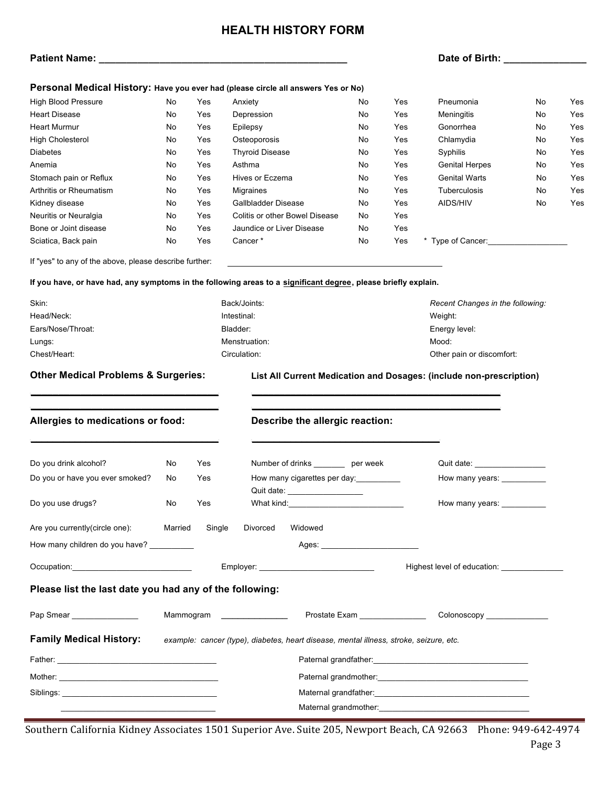# **HEALTH HISTORY FORM**

# **Patient Name: \_\_\_\_\_\_\_\_\_\_\_\_\_\_\_\_\_\_\_\_\_\_\_\_\_\_\_\_\_\_\_\_\_\_\_\_\_\_\_\_\_\_\_\_\_ Date of Birth: \_\_\_\_\_\_\_\_\_\_\_\_\_\_\_**

|                                                           |                           |     | Personal Medical History: Have you ever had (please circle all answers Yes or No)                              |         |     |                                                                     |    |     |
|-----------------------------------------------------------|---------------------------|-----|----------------------------------------------------------------------------------------------------------------|---------|-----|---------------------------------------------------------------------|----|-----|
| High Blood Pressure                                       | No                        | Yes | Anxiety                                                                                                        | No      | Yes | Pneumonia                                                           | No | Yes |
| <b>Heart Disease</b>                                      | No                        | Yes | Depression                                                                                                     | No      | Yes | Meningitis                                                          | No | Yes |
| <b>Heart Murmur</b>                                       | No                        | Yes | Epilepsy                                                                                                       | No      | Yes | Gonorrhea                                                           | No | Yes |
| High Cholesterol                                          | No                        | Yes | Osteoporosis                                                                                                   | No      | Yes | Chlamydia                                                           | No | Yes |
| Diabetes                                                  | No.                       | Yes | <b>Thyroid Disease</b>                                                                                         | No      | Yes | Syphilis                                                            | No | Yes |
| Anemia                                                    | No                        | Yes | Asthma                                                                                                         | No      | Yes | <b>Genital Herpes</b>                                               | No | Yes |
| Stomach pain or Reflux                                    | No                        | Yes | Hives or Eczema                                                                                                | No      | Yes | <b>Genital Warts</b>                                                | No | Yes |
| Arthritis or Rheumatism                                   | No                        | Yes | Migraines                                                                                                      | No      | Yes | Tuberculosis                                                        | No | Yes |
| Kidney disease                                            | No                        | Yes | Gallbladder Disease                                                                                            | No      | Yes | AIDS/HIV                                                            | No | Yes |
| Neuritis or Neuralgia                                     | No                        | Yes | Colitis or other Bowel Disease                                                                                 | No      | Yes |                                                                     |    |     |
| Bone or Joint disease                                     | No                        | Yes | Jaundice or Liver Disease                                                                                      | No      | Yes |                                                                     |    |     |
| Sciatica, Back pain                                       | No                        | Yes | Cancer*                                                                                                        | No      | Yes | * Type of Cancer:                                                   |    |     |
| If "yes" to any of the above, please describe further:    |                           |     |                                                                                                                |         |     |                                                                     |    |     |
|                                                           |                           |     | If you have, or have had, any symptoms in the following areas to a significant degree, please briefly explain. |         |     |                                                                     |    |     |
| Skin:                                                     |                           |     | Back/Joints:                                                                                                   |         |     | Recent Changes in the following:                                    |    |     |
| Head/Neck:                                                | Intestinal:               |     |                                                                                                                | Weight: |     |                                                                     |    |     |
| Ears/Nose/Throat:                                         | Bladder:<br>Energy level: |     |                                                                                                                |         |     |                                                                     |    |     |
| Menstruation:<br>Lungs:                                   |                           |     | Mood:                                                                                                          |         |     |                                                                     |    |     |
| Chest/Heart:<br>Circulation:<br>Other pain or discomfort: |                           |     |                                                                                                                |         |     |                                                                     |    |     |
| <b>Other Medical Problems &amp; Surgeries:</b>            |                           |     |                                                                                                                |         |     | List All Current Medication and Dosages: (include non-prescription) |    |     |
| Allergies to medications or food:                         |                           |     | Describe the allergic reaction:                                                                                |         |     |                                                                     |    |     |
| Do you drink alcohol?                                     | No                        | Yes | Number of drinks _________ per week                                                                            |         |     | Quit date: __________________                                       |    |     |
| Do you or have you ever smoked?                           | No.                       | Yes | How many cigarettes per day:                                                                                   |         |     | How many years: ___________                                         |    |     |
|                                                           |                           |     | Quit date: ___________________                                                                                 |         |     |                                                                     |    |     |
| Do you use drugs?                                         | No                        | Yes |                                                                                                                |         |     | How many years:                                                     |    |     |
|                                                           |                           |     |                                                                                                                |         |     |                                                                     |    |     |
| Are you currently(circle one):                            | Married                   |     | Single<br>Divorced<br>Widowed                                                                                  |         |     |                                                                     |    |     |
| How many children do you have?                            |                           |     |                                                                                                                |         |     |                                                                     |    |     |
|                                                           |                           |     |                                                                                                                |         |     | Highest level of education:                                         |    |     |
| Please list the last date you had any of the following:   |                           |     |                                                                                                                |         |     |                                                                     |    |     |
| Pap Smear                                                 |                           |     | Mammogram ________________<br>Prostate Exam _______________                                                    |         |     | Colonoscopy _______________                                         |    |     |

**Family Medical History:** *example: cancer (type), diabetes, heart disease, mental illness, stroke, seizure, etc.*

| Father:<br><u> 1989 - Johann Stoff, amerikansk politiker (d. 1989)</u> |                                                                                                                                                                                                                                |
|------------------------------------------------------------------------|--------------------------------------------------------------------------------------------------------------------------------------------------------------------------------------------------------------------------------|
| Mother:                                                                |                                                                                                                                                                                                                                |
| Siblings:                                                              | Maternal grandfather: example and a series of the series of the series of the series of the series of the series of the series of the series of the series of the series of the series of the series of the series of the seri |
|                                                                        | Maternal grandmother: National Accounts and Accounts and Accounts and Accounts and Accounts and Accounts and Accounts and Accounts and Accounts and Accounts and Accounts and Accounts and Accounts and Accounts and Accounts  |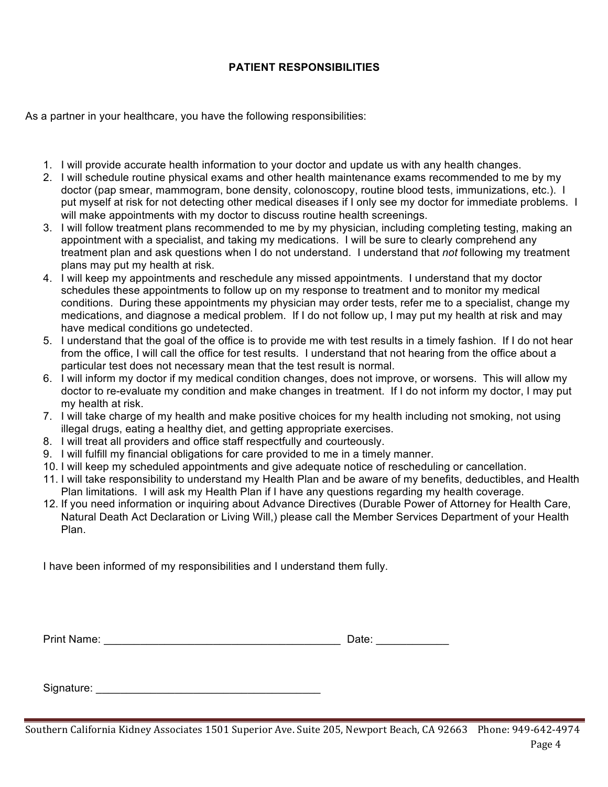# **PATIENT RESPONSIBILITIES**

As a partner in your healthcare, you have the following responsibilities:

- 1. I will provide accurate health information to your doctor and update us with any health changes.
- 2. I will schedule routine physical exams and other health maintenance exams recommended to me by my doctor (pap smear, mammogram, bone density, colonoscopy, routine blood tests, immunizations, etc.). I put myself at risk for not detecting other medical diseases if I only see my doctor for immediate problems. I will make appointments with my doctor to discuss routine health screenings.
- 3. I will follow treatment plans recommended to me by my physician, including completing testing, making an appointment with a specialist, and taking my medications. I will be sure to clearly comprehend any treatment plan and ask questions when I do not understand. I understand that *not* following my treatment plans may put my health at risk.
- 4. I will keep my appointments and reschedule any missed appointments. I understand that my doctor schedules these appointments to follow up on my response to treatment and to monitor my medical conditions. During these appointments my physician may order tests, refer me to a specialist, change my medications, and diagnose a medical problem. If I do not follow up, I may put my health at risk and may have medical conditions go undetected.
- 5. I understand that the goal of the office is to provide me with test results in a timely fashion. If I do not hear from the office, I will call the office for test results. I understand that not hearing from the office about a particular test does not necessary mean that the test result is normal.
- 6. I will inform my doctor if my medical condition changes, does not improve, or worsens. This will allow my doctor to re-evaluate my condition and make changes in treatment. If I do not inform my doctor, I may put my health at risk.
- 7. I will take charge of my health and make positive choices for my health including not smoking, not using illegal drugs, eating a healthy diet, and getting appropriate exercises.
- 8. I will treat all providers and office staff respectfully and courteously.
- 9. I will fulfill my financial obligations for care provided to me in a timely manner.
- 10. I will keep my scheduled appointments and give adequate notice of rescheduling or cancellation.
- 11. I will take responsibility to understand my Health Plan and be aware of my benefits, deductibles, and Health Plan limitations. I will ask my Health Plan if I have any questions regarding my health coverage.
- 12. If you need information or inquiring about Advance Directives (Durable Power of Attorney for Health Care, Natural Death Act Declaration or Living Will,) please call the Member Services Department of your Health Plan.

I have been informed of my responsibilities and I understand them fully.

| <b>Print Name:</b> | ---<br>allt. |
|--------------------|--------------|
|                    |              |

Signature: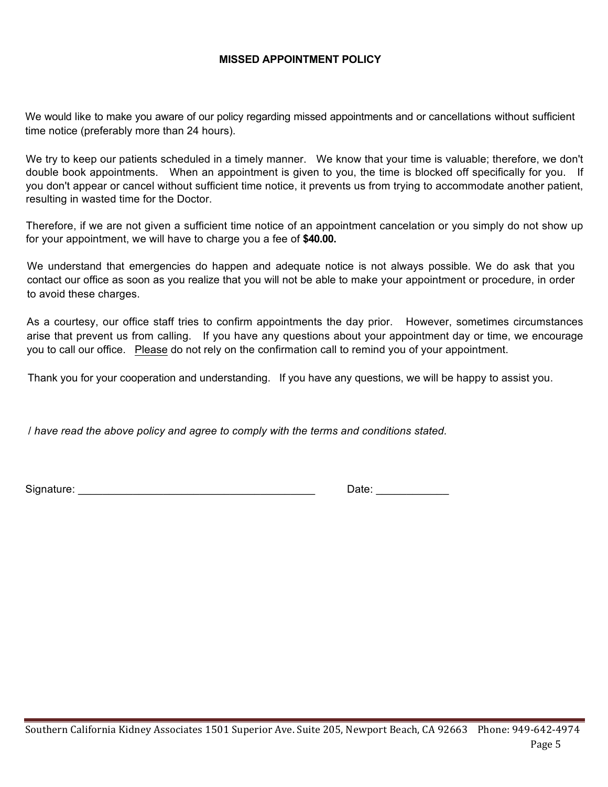# **MISSED APPOINTMENT POLICY**

We would like to make you aware of our policy regarding missed appointments and or cancellations without sufficient time notice (preferably more than 24 hours).

We try to keep our patients scheduled in a timely manner. We know that your time is valuable; therefore, we don't double book appointments. When an appointment is given to you, the time is blocked off specifically for you. If you don't appear or cancel without sufficient time notice, it prevents us from trying to accommodate another patient, resulting in wasted time for the Doctor.

Therefore, if we are not given a sufficient time notice of an appointment cancelation or you simply do not show up for your appointment, we will have to charge you a fee of **\$40.00.**

We understand that emergencies do happen and adequate notice is not always possible. We do ask that you contact our office as soon as you realize that you will not be able to make your appointment or procedure, in order to avoid these charges.

As a courtesy, our office staff tries to confirm appointments the day prior. However, sometimes circumstances arise that prevent us from calling. If you have any questions about your appointment day or time, we encourage you to call our office. Please do not rely on the confirmation call to remind you of your appointment.

Thank you for your cooperation and understanding. If you have any questions, we will be happy to assist you.

/ *have read the above policy and agree to comply with the terms and conditions stated.*

Signature: \_\_\_\_\_\_\_\_\_\_\_\_\_\_\_\_\_\_\_\_\_\_\_\_\_\_\_\_\_\_\_\_\_\_\_\_\_\_\_ Date: \_\_\_\_\_\_\_\_\_\_\_\_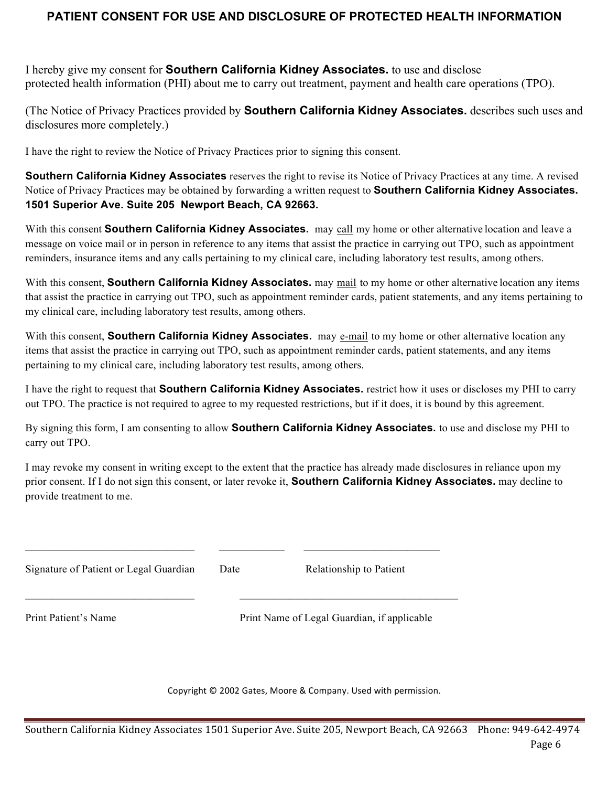# **PATIENT CONSENT FOR USE AND DISCLOSURE OF PROTECTED HEALTH INFORMATION**

I hereby give my consent for **Southern California Kidney Associates.** to use and disclose protected health information (PHI) about me to carry out treatment, payment and health care operations (TPO).

(The Notice of Privacy Practices provided by **Southern California Kidney Associates.** describes such uses and disclosures more completely.)

I have the right to review the Notice of Privacy Practices prior to signing this consent.

**Southern California Kidney Associates** reserves the right to revise its Notice of Privacy Practices at any time. A revised Notice of Privacy Practices may be obtained by forwarding a written request to **Southern California Kidney Associates. 1501 Superior Ave. Suite 205 Newport Beach, CA 92663.**

With this consent **Southern California Kidney Associates.** may call my home or other alternative location and leave a message on voice mail or in person in reference to any items that assist the practice in carrying out TPO, such as appointment reminders, insurance items and any calls pertaining to my clinical care, including laboratory test results, among others.

With this consent, **Southern California Kidney Associates.** may mail to my home or other alternative location any items that assist the practice in carrying out TPO, such as appointment reminder cards, patient statements, and any items pertaining to my clinical care, including laboratory test results, among others.

With this consent, **Southern California Kidney Associates.** may e-mail to my home or other alternative location any items that assist the practice in carrying out TPO, such as appointment reminder cards, patient statements, and any items pertaining to my clinical care, including laboratory test results, among others.

I have the right to request that **Southern California Kidney Associates.** restrict how it uses or discloses my PHI to carry out TPO. The practice is not required to agree to my requested restrictions, but if it does, it is bound by this agreement.

By signing this form, I am consenting to allow **Southern California Kidney Associates.** to use and disclose my PHI to carry out TPO.

I may revoke my consent in writing except to the extent that the practice has already made disclosures in reliance upon my prior consent. If I do not sign this consent, or later revoke it, **Southern California Kidney Associates.** may decline to provide treatment to me.

 $\mathcal{L}_\text{max} = \mathcal{L}_\text{max} = \mathcal{L}_\text{max} = \mathcal{L}_\text{max} = \mathcal{L}_\text{max} = \mathcal{L}_\text{max} = \mathcal{L}_\text{max} = \mathcal{L}_\text{max} = \mathcal{L}_\text{max} = \mathcal{L}_\text{max} = \mathcal{L}_\text{max} = \mathcal{L}_\text{max} = \mathcal{L}_\text{max} = \mathcal{L}_\text{max} = \mathcal{L}_\text{max} = \mathcal{L}_\text{max} = \mathcal{L}_\text{max} = \mathcal{L}_\text{max} = \mathcal{$ 

 $\mathcal{L}_\text{max} = \mathcal{L}_\text{max} = \mathcal{L}_\text{max} = \mathcal{L}_\text{max} = \mathcal{L}_\text{max} = \mathcal{L}_\text{max} = \mathcal{L}_\text{max} = \mathcal{L}_\text{max} = \mathcal{L}_\text{max} = \mathcal{L}_\text{max} = \mathcal{L}_\text{max} = \mathcal{L}_\text{max} = \mathcal{L}_\text{max} = \mathcal{L}_\text{max} = \mathcal{L}_\text{max} = \mathcal{L}_\text{max} = \mathcal{L}_\text{max} = \mathcal{L}_\text{max} = \mathcal{$ 

Date Relationship to Patient

Print Patient's Name Print Name of Legal Guardian, if applicable

Copyright  $\odot$  2002 Gates, Moore & Company. Used with permission.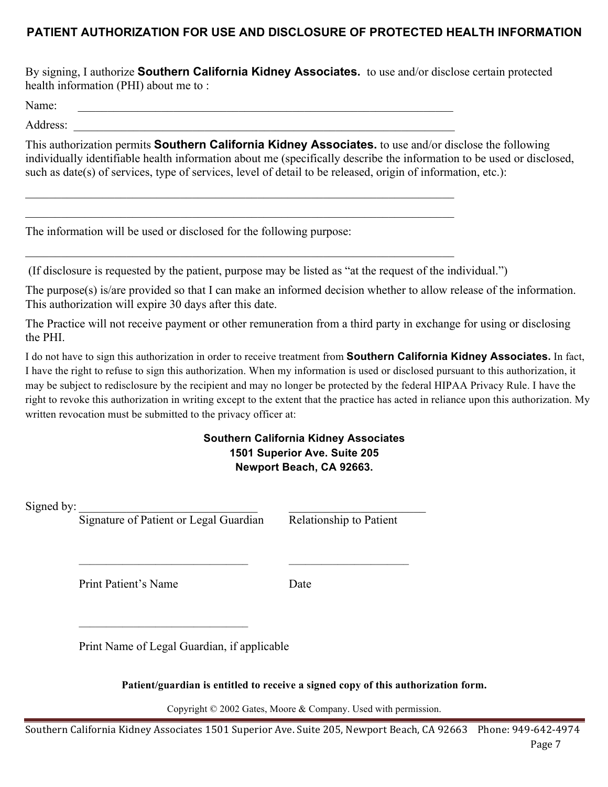# **PATIENT AUTHORIZATION FOR USE AND DISCLOSURE OF PROTECTED HEALTH INFORMATION**

By signing, I authorize **Southern California Kidney Associates.** to use and/or disclose certain protected health information (PHI) about me to :

Name:

Address:

This authorization permits **Southern California Kidney Associates.** to use and/or disclose the following individually identifiable health information about me (specifically describe the information to be used or disclosed, such as date(s) of services, type of services, level of detail to be released, origin of information, etc.):

The information will be used or disclosed for the following purpose:

(If disclosure is requested by the patient, purpose may be listed as "at the request of the individual.")

 $\mathcal{L}_\text{max} = \mathcal{L}_\text{max} = \mathcal{L}_\text{max} = \mathcal{L}_\text{max} = \mathcal{L}_\text{max} = \mathcal{L}_\text{max} = \mathcal{L}_\text{max} = \mathcal{L}_\text{max} = \mathcal{L}_\text{max} = \mathcal{L}_\text{max} = \mathcal{L}_\text{max} = \mathcal{L}_\text{max} = \mathcal{L}_\text{max} = \mathcal{L}_\text{max} = \mathcal{L}_\text{max} = \mathcal{L}_\text{max} = \mathcal{L}_\text{max} = \mathcal{L}_\text{max} = \mathcal{$  $\mathcal{L}_\text{max}$  , and the contribution of the contribution of the contribution of the contribution of the contribution of the contribution of the contribution of the contribution of the contribution of the contribution of t

 $\mathcal{L}_\text{max}$  , and the contribution of the contribution of the contribution of the contribution of the contribution of the contribution of the contribution of the contribution of the contribution of the contribution of t

The purpose(s) is/are provided so that I can make an informed decision whether to allow release of the information. This authorization will expire 30 days after this date.

The Practice will not receive payment or other remuneration from a third party in exchange for using or disclosing the PHI.

I do not have to sign this authorization in order to receive treatment from **Southern California Kidney Associates.** In fact, I have the right to refuse to sign this authorization. When my information is used or disclosed pursuant to this authorization, it may be subject to redisclosure by the recipient and may no longer be protected by the federal HIPAA Privacy Rule. I have the right to revoke this authorization in writing except to the extent that the practice has acted in reliance upon this authorization. My written revocation must be submitted to the privacy officer at:

# **Southern California Kidney Associates 1501 Superior Ave. Suite 205 Newport Beach, CA 92663.**

Signed by:

Signature of Patient or Legal Guardian Relationship to Patient

Print Patient's Name Date

\_\_\_\_\_\_\_\_\_\_\_\_\_\_\_\_\_\_\_\_\_\_\_\_\_\_\_\_\_\_\_ \_\_\_\_\_\_\_\_\_\_\_\_\_\_\_\_\_\_\_\_\_\_

Print Name of Legal Guardian, if applicable

**Patient/guardian is entitled to receive a signed copy of this authorization form.**

Copyright © 2002 Gates, Moore & Company. Used with permission.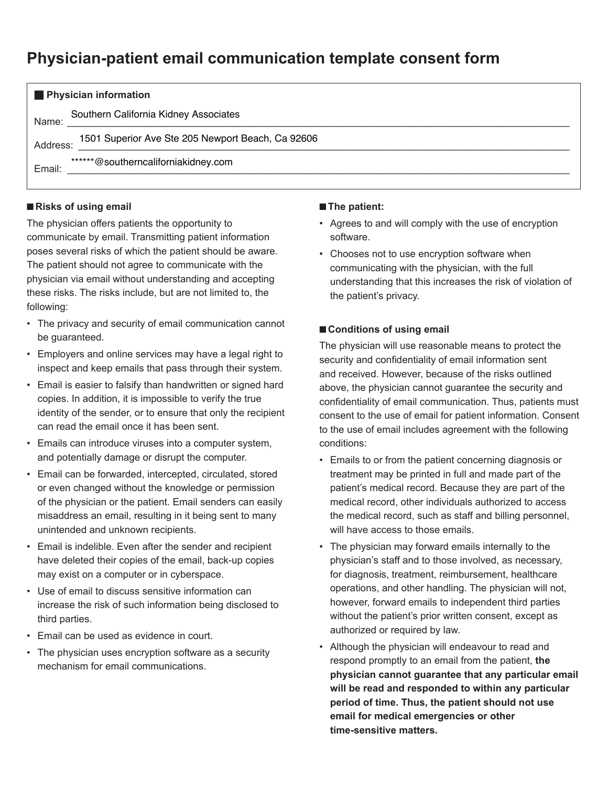# **Physician-patient email communication template consent form**

| <b>Physician information</b>                                  |  |  |  |  |
|---------------------------------------------------------------|--|--|--|--|
| Southern California Kidney Associates<br>Name:                |  |  |  |  |
| 1501 Superior Ave Ste 205 Newport Beach, Ca 92606<br>Address: |  |  |  |  |
| ******@southerncaliforniakidney.com<br>Email:                 |  |  |  |  |
|                                                               |  |  |  |  |

# **Risks of using email**

The physician offers patients the opportunity to communicate by email. Transmitting patient information poses several risks of which the patient should be aware. The patient should not agree to communicate with the physician via email without understanding and accepting these risks. The risks include, but are not limited to, the following:

- The privacy and security of email communication cannot be guaranteed.
- Employers and online services may have a legal right to inspect and keep emails that pass through their system.
- Email is easier to falsify than handwritten or signed hard copies. In addition, it is impossible to verify the true identity of the sender, or to ensure that only the recipient can read the email once it has been sent.
- Emails can introduce viruses into a computer system, and potentially damage or disrupt the computer.
- Email can be forwarded, intercepted, circulated, stored or even changed without the knowledge or permission of the physician or the patient. Email senders can easily misaddress an email, resulting in it being sent to many unintended and unknown recipients.
- Email is indelible. Even after the sender and recipient have deleted their copies of the email, back-up copies may exist on a computer or in cyberspace.
- Use of email to discuss sensitive information can increase the risk of such information being disclosed to third parties.
- Email can be used as evidence in court.
- The physician uses encryption software as a security mechanism for email communications.

### **n** The patient:

- Agrees to and will comply with the use of encryption software.
- Chooses not to use encryption software when communicating with the physician, with the full understanding that this increases the risk of violation of the patient's privacy.

# ■ Conditions of using email

The physician will use reasonable means to protect the security and confidentiality of email information sent and received. However, because of the risks outlined above, the physician cannot guarantee the security and confidentiality of email communication. Thus, patients must consent to the use of email for patient information. Consent to the use of email includes agreement with the following conditions:

- Emails to or from the patient concerning diagnosis or treatment may be printed in full and made part of the patient's medical record. Because they are part of the medical record, other individuals authorized to access the medical record, such as staff and billing personnel, will have access to those emails.
- The physician may forward emails internally to the physician's staff and to those involved, as necessary, for diagnosis, treatment, reimbursement, healthcare operations, and other handling. The physician will not, however, forward emails to independent third parties without the patient's prior written consent, except as authorized or required by law.
- Although the physician will endeavour to read and respond promptly to an email from the patient, **the physician cannot guarantee that any particular email will be read and responded to within any particular period of time. Thus, the patient should not use email for medical emergencies or other time-sensitive matters.**